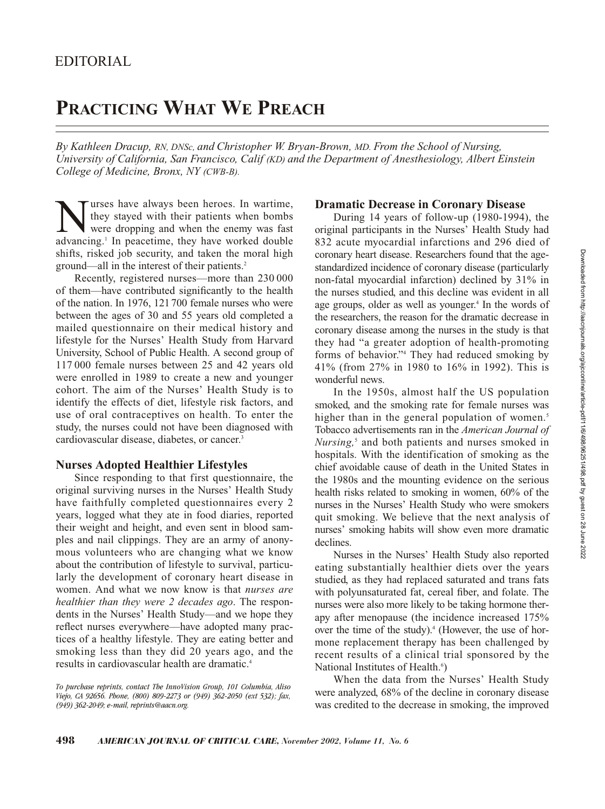# **PRACTICING WHAT WE PREACH**

*By Kathleen Dracup, RN, DNSc, and Christopher W. Bryan-Brown, MD. From the School of Nursing, University of California, San Francisco, Calif (KD) and the Department of Anesthesiology, Albert Einstein College of Medicine, Bronx, NY (CWB-B).*

Wurses have always been heroes. In wartime,<br>they stayed with their patients when bombs<br>were dropping and when the enemy was fast<br>advancing<sup>1</sup> In peacetime, they have worked double they stayed with their patients when bombs were dropping and when the enemy was fast advancing.<sup>1</sup> In peacetime, they have worked double shifts, risked job security, and taken the moral high ground—all in the interest of their patients.2

Recently, registered nurses—more than 230 000 of them—have contributed significantly to the health of the nation. In 1976, 121700 female nurses who were between the ages of 30 and 55 years old completed a mailed questionnaire on their medical history and lifestyle for the Nurses' Health Study from Harvard University, School of Public Health. A second group of 117 000 female nurses between 25 and 42 years old were enrolled in 1989 to create a new and younger cohort. The aim of the Nurses' Health Study is to identify the effects of diet, lifestyle risk factors, and use of oral contraceptives on health. To enter the study, the nurses could not have been diagnosed with cardiovascular disease, diabetes, or cancer.3

## **Nurses Adopted Healthier Lifestyles**

Since responding to that first questionnaire, the original surviving nurses in the Nurses' Health Study have faithfully completed questionnaires every 2 years, logged what they ate in food diaries, reported their weight and height, and even sent in blood samples and nail clippings. They are an army of anonymous volunteers who are changing what we know about the contribution of lifestyle to survival, particularly the development of coronary heart disease in women. And what we now know is that *nurses are healthier than they were 2 decades ago*. The respondents in the Nurses' Health Study—and we hope they reflect nurses everywhere—have adopted many practices of a healthy lifestyle. They are eating better and smoking less than they did 20 years ago, and the results in cardiovascular health are dramatic.4

### **Dramatic Decrease in Coronary Disease**

During 14 years of follow-up (1980-1994), the original participants in the Nurses' Health Study had 832 acute myocardial infarctions and 296 died of coronary heart disease. Researchers found that the agestandardized incidence of coronary disease (particularly non-fatal myocardial infarction) declined by 31% in the nurses studied, and this decline was evident in all age groups, older as well as younger.<sup>4</sup> In the words of the researchers, the reason for the dramatic decrease in coronary disease among the nurses in the study is that they had "a greater adoption of health-promoting forms of behavior."4 They had reduced smoking by 41% (from 27% in 1980 to 16% in 1992). This is wonderful news.

In the 1950s, almost half the US population smoked, and the smoking rate for female nurses was higher than in the general population of women.<sup>5</sup> Tobacco advertisements ran in the *American Journal of Nursing*,<sup>5</sup> and both patients and nurses smoked in hospitals. With the identification of smoking as the chief avoidable cause of death in the United States in the 1980s and the mounting evidence on the serious health risks related to smoking in women, 60% of the nurses in the Nurses' Health Study who were smokers quit smoking. We believe that the next analysis of nurses' smoking habits will show even more dramatic declines.

Nurses in the Nurses' Health Study also reported eating substantially healthier diets over the years studied, as they had replaced saturated and trans fats with polyunsaturated fat, cereal fiber, and folate. The nurses were also more likely to be taking hormone therapy after menopause (the incidence increased 175% over the time of the study).<sup>4</sup> (However, the use of hormone replacement therapy has been challenged by recent results of a clinical trial sponsored by the National Institutes of Health.<sup>6</sup>)

When the data from the Nurses' Health Study were analyzed, 68% of the decline in coronary disease was credited to the decrease in smoking, the improved

*To purchase reprints, contact The InnoVision Group, 101 Columbia, Aliso Viejo, CA 92656. Phone, (800) 809-2273 or (949) 362-2050 (ext 532); fax, (949) 362-2049; e-mail, reprints@aacn.org.*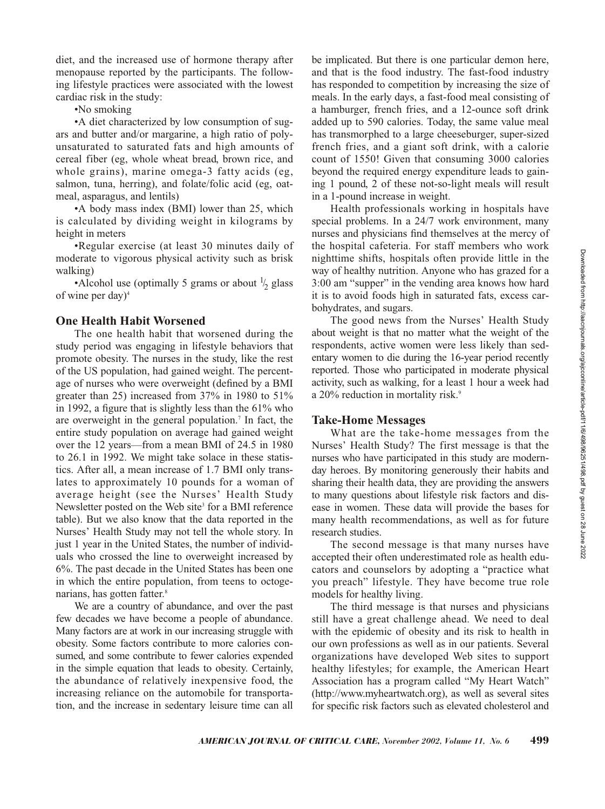diet, and the increased use of hormone therapy after menopause reported by the participants. The following lifestyle practices were associated with the lowest cardiac risk in the study:

•No smoking

•A diet characterized by low consumption of sugars and butter and/or margarine, a high ratio of polyunsaturated to saturated fats and high amounts of cereal fiber (eg, whole wheat bread, brown rice, and whole grains), marine omega-3 fatty acids (eg, salmon, tuna, herring), and folate/folic acid (eg, oatmeal, asparagus, and lentils)

•A body mass index (BMI) lower than 25, which is calculated by dividing weight in kilograms by height in meters

•Regular exercise (at least 30 minutes daily of moderate to vigorous physical activity such as brisk walking)

•Alcohol use (optimally 5 grams or about  $\frac{1}{2}$  glass of wine per day)4

### **One Health Habit Worsened**

The one health habit that worsened during the study period was engaging in lifestyle behaviors that promote obesity. The nurses in the study, like the rest of the US population, had gained weight. The percentage of nurses who were overweight (defined by a BMI greater than 25) increased from 37% in 1980 to 51% in 1992, a figure that is slightly less than the 61% who are overweight in the general population.7 In fact, the entire study population on average had gained weight over the 12 years—from a mean BMI of 24.5 in 1980 to 26.1 in 1992. We might take solace in these statistics. After all, a mean increase of 1.7 BMI only translates to approximately 10 pounds for a woman of average height (see the Nurses' Health Study Newsletter posted on the Web site<sup>3</sup> for a BMI reference table). But we also know that the data reported in the Nurses' Health Study may not tell the whole story. In just 1 year in the United States, the number of individuals who crossed the line to overweight increased by 6%. The past decade in the United States has been one in which the entire population, from teens to octogenarians, has gotten fatter.<sup>8</sup>

We are a country of abundance, and over the past few decades we have become a people of abundance. Many factors are at work in our increasing struggle with obesity. Some factors contribute to more calories consumed, and some contribute to fewer calories expended in the simple equation that leads to obesity. Certainly, the abundance of relatively inexpensive food, the increasing reliance on the automobile for transportation, and the increase in sedentary leisure time can all

be implicated. But there is one particular demon here, and that is the food industry. The fast-food industry has responded to competition by increasing the size of meals. In the early days, a fast-food meal consisting of a hamburger, french fries, and a 12-ounce soft drink added up to 590 calories. Today, the same value meal has transmorphed to a large cheeseburger, super-sized french fries, and a giant soft drink, with a calorie count of 1550! Given that consuming 3000 calories beyond the required energy expenditure leads to gaining 1 pound, 2 of these not-so-light meals will result in a 1-pound increase in weight.

Health professionals working in hospitals have special problems. In a 24/7 work environment, many nurses and physicians find themselves at the mercy of the hospital cafeteria. For staff members who work nighttime shifts, hospitals often provide little in the way of healthy nutrition. Anyone who has grazed for a 3:00 am "supper" in the vending area knows how hard it is to avoid foods high in saturated fats, excess carbohydrates, and sugars.

The good news from the Nurses' Health Study about weight is that no matter what the weight of the respondents, active women were less likely than sedentary women to die during the 16-year period recently reported. Those who participated in moderate physical activity, such as walking, for a least 1 hour a week had a 20% reduction in mortality risk.<sup>9</sup>

#### **Take-Home Messages**

What are the take-home messages from the Nurses' Health Study? The first message is that the nurses who have participated in this study are modernday heroes. By monitoring generously their habits and sharing their health data, they are providing the answers to many questions about lifestyle risk factors and disease in women. These data will provide the bases for many health recommendations, as well as for future research studies.

The second message is that many nurses have accepted their often underestimated role as health educators and counselors by adopting a "practice what you preach" lifestyle. They have become true role models for healthy living.

The third message is that nurses and physicians still have a great challenge ahead. We need to deal with the epidemic of obesity and its risk to health in our own professions as well as in our patients. Several organizations have developed Web sites to support healthy lifestyles; for example, the American Heart Association has a program called "My Heart Watch" (http://www.myheartwatch.org), as well as several sites for specific risk factors such as elevated cholesterol and